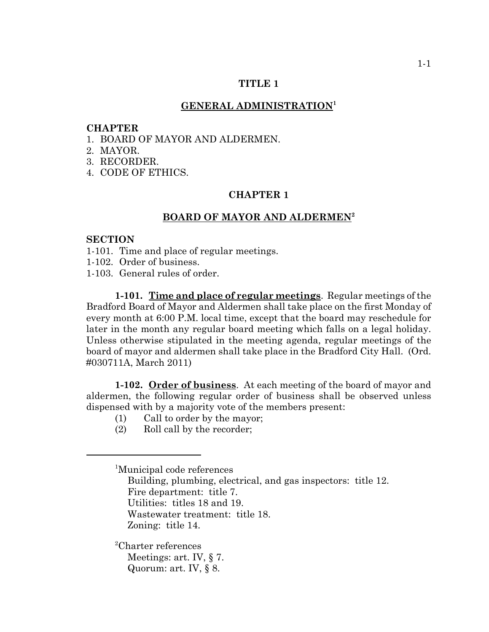### **TITLE 1**

### **GENERAL ADMINISTRATION<sup>1</sup>**

#### **CHAPTER**

- 1. BOARD OF MAYOR AND ALDERMEN.
- 2. MAYOR.
- 3. RECORDER.
- 4. CODE OF ETHICS.

### **CHAPTER 1**

## **BOARD OF MAYOR AND ALDERMEN<sup>2</sup>**

### **SECTION**

- 1-101. Time and place of regular meetings.
- 1-102. Order of business.
- 1-103. General rules of order.

**1-101. Time and place of regular meetings**. Regular meetings of the Bradford Board of Mayor and Aldermen shall take place on the first Monday of every month at 6:00 P.M. local time, except that the board may reschedule for later in the month any regular board meeting which falls on a legal holiday. Unless otherwise stipulated in the meeting agenda, regular meetings of the board of mayor and aldermen shall take place in the Bradford City Hall. (Ord. #030711A, March 2011)

**1-102. Order of business**. At each meeting of the board of mayor and aldermen, the following regular order of business shall be observed unless dispensed with by a majority vote of the members present:

- (1) Call to order by the mayor;
- (2) Roll call by the recorder;

1 Municipal code references Building, plumbing, electrical, and gas inspectors: title 12. Fire department: title 7. Utilities: titles 18 and 19. Wastewater treatment: title 18. Zoning: title 14.

2 Charter references Meetings: art. IV, § 7. Quorum: art. IV, § 8.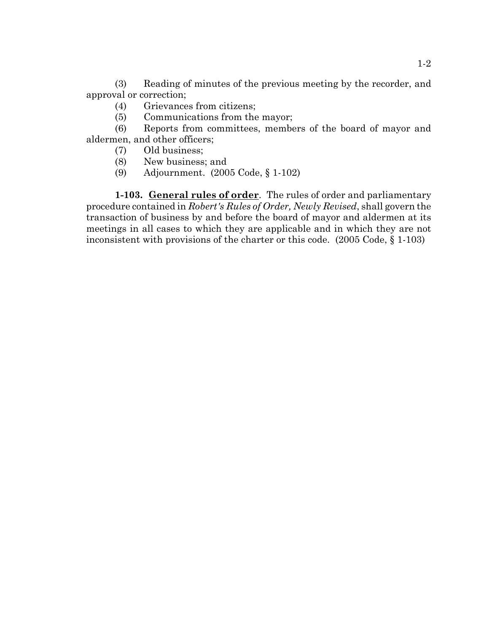(3) Reading of minutes of the previous meeting by the recorder, and approval or correction;

- (4) Grievances from citizens;
- (5) Communications from the mayor;

(6) Reports from committees, members of the board of mayor and aldermen, and other officers;

- (7) Old business;
- (8) New business; and
- (9) Adjournment. (2005 Code, § 1-102)

**1-103. General rules of order**. The rules of order and parliamentary procedure contained in *Robert's Rules of Order, Newly Revised*, shall govern the transaction of business by and before the board of mayor and aldermen at its meetings in all cases to which they are applicable and in which they are not inconsistent with provisions of the charter or this code. (2005 Code, § 1-103)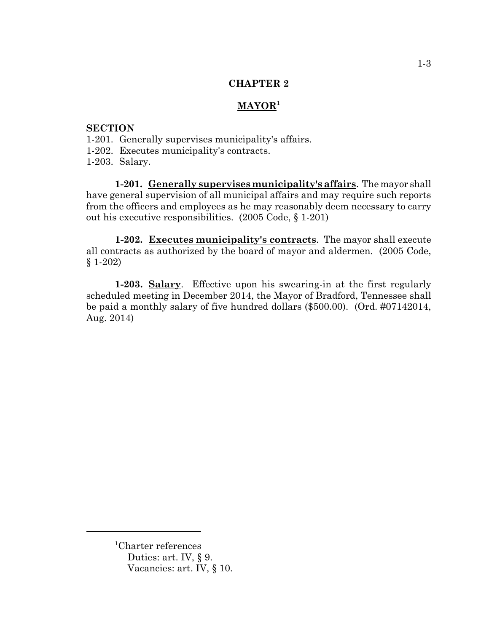## **CHAPTER 2**

# **MAYOR<sup>1</sup>**

# **SECTION**

- 1-201. Generally supervises municipality's affairs.
- 1-202. Executes municipality's contracts.
- 1-203. Salary.

**1-201. Generally supervises municipality's affairs**. The mayor shall have general supervision of all municipal affairs and may require such reports from the officers and employees as he may reasonably deem necessary to carry out his executive responsibilities. (2005 Code, § 1-201)

**1-202. Executes municipality's contracts**. The mayor shall execute all contracts as authorized by the board of mayor and aldermen. (2005 Code, § 1-202)

**1-203. Salary**. Effective upon his swearing-in at the first regularly scheduled meeting in December 2014, the Mayor of Bradford, Tennessee shall be paid a monthly salary of five hundred dollars (\$500.00). (Ord. #07142014, Aug. 2014)

<sup>1</sup> Charter references Duties: art. IV, § 9. Vacancies: art. IV, § 10.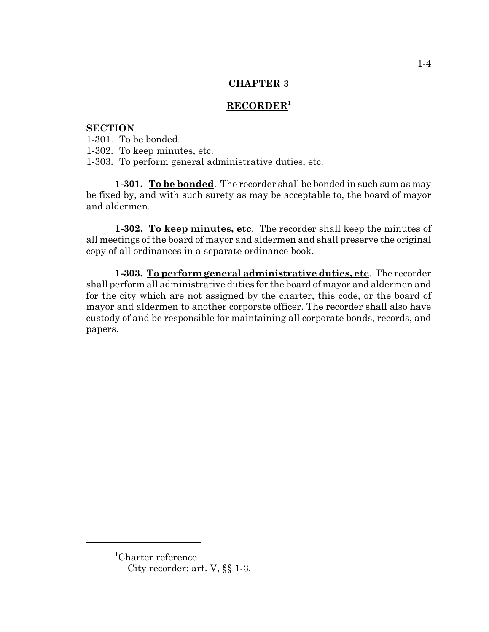# **CHAPTER 3**

# **RECORDER1**

# **SECTION**

1-301. To be bonded. 1-302. To keep minutes, etc. 1-303. To perform general administrative duties, etc.

**1-301. To be bonded**. The recorder shall be bonded in such sum as may be fixed by, and with such surety as may be acceptable to, the board of mayor and aldermen.

**1-302. To keep minutes, etc**. The recorder shall keep the minutes of all meetings of the board of mayor and aldermen and shall preserve the original copy of all ordinances in a separate ordinance book.

**1-303. To perform general administrative duties, etc**. The recorder shall perform all administrative duties for the board of mayor and aldermen and for the city which are not assigned by the charter, this code, or the board of mayor and aldermen to another corporate officer. The recorder shall also have custody of and be responsible for maintaining all corporate bonds, records, and papers.

<sup>1</sup> Charter reference City recorder: art. V, §§ 1-3.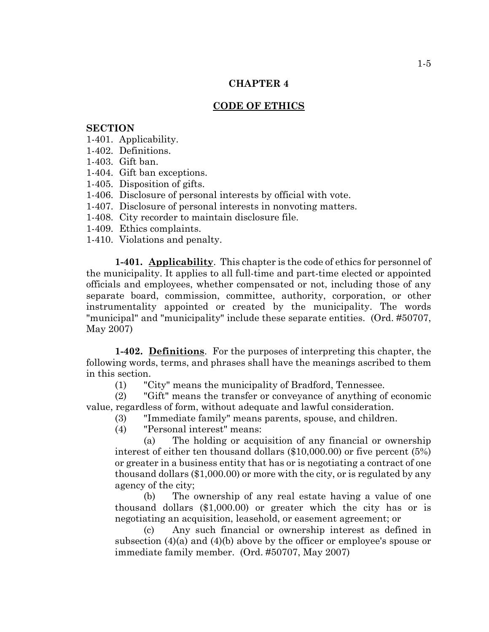## **CHAPTER 4**

# **CODE OF ETHICS**

### **SECTION**

- 1-401. Applicability.
- 1-402. Definitions.
- 1-403. Gift ban.
- 1-404. Gift ban exceptions.
- 1-405. Disposition of gifts.
- 1-406. Disclosure of personal interests by official with vote.
- 1-407. Disclosure of personal interests in nonvoting matters.
- 1-408. City recorder to maintain disclosure file.
- 1-409. Ethics complaints.
- 1-410. Violations and penalty.

**1-401. Applicability**. This chapter is the code of ethics for personnel of the municipality. It applies to all full-time and part-time elected or appointed officials and employees, whether compensated or not, including those of any separate board, commission, committee, authority, corporation, or other instrumentality appointed or created by the municipality. The words "municipal" and "municipality" include these separate entities. (Ord. #50707, May 2007)

**1-402. Definitions**. For the purposes of interpreting this chapter, the following words, terms, and phrases shall have the meanings ascribed to them in this section.

(1) "City" means the municipality of Bradford, Tennessee.

(2) "Gift" means the transfer or conveyance of anything of economic value, regardless of form, without adequate and lawful consideration.

- (3) "Immediate family" means parents, spouse, and children.
	- (4) "Personal interest" means:

(a) The holding or acquisition of any financial or ownership interest of either ten thousand dollars (\$10,000.00) or five percent (5%) or greater in a business entity that has or is negotiating a contract of one thousand dollars (\$1,000.00) or more with the city, or is regulated by any agency of the city;

(b) The ownership of any real estate having a value of one thousand dollars (\$1,000.00) or greater which the city has or is negotiating an acquisition, leasehold, or easement agreement; or

(c) Any such financial or ownership interest as defined in subsection (4)(a) and (4)(b) above by the officer or employee's spouse or immediate family member. (Ord. #50707, May 2007)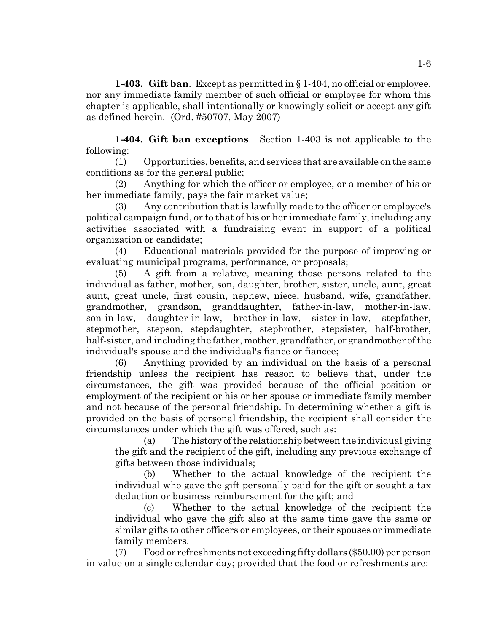**1-403. Gift ban**. Except as permitted in § 1-404, no official or employee, nor any immediate family member of such official or employee for whom this chapter is applicable, shall intentionally or knowingly solicit or accept any gift as defined herein. (Ord. #50707, May 2007)

**1-404. Gift ban exceptions**. Section 1-403 is not applicable to the following:

(1) Opportunities, benefits, and services that are available on the same conditions as for the general public;

(2) Anything for which the officer or employee, or a member of his or her immediate family, pays the fair market value;

(3) Any contribution that is lawfully made to the officer or employee's political campaign fund, or to that of his or her immediate family, including any activities associated with a fundraising event in support of a political organization or candidate;

(4) Educational materials provided for the purpose of improving or evaluating municipal programs, performance, or proposals;

(5) A gift from a relative, meaning those persons related to the individual as father, mother, son, daughter, brother, sister, uncle, aunt, great aunt, great uncle, first cousin, nephew, niece, husband, wife, grandfather, grandmother, grandson, granddaughter, father-in-law, mother-in-law, son-in-law, daughter-in-law, brother-in-law, sister-in-law, stepfather, stepmother, stepson, stepdaughter, stepbrother, stepsister, half-brother, half-sister, and including the father, mother, grandfather, or grandmother of the individual's spouse and the individual's fiance or fiancee;

(6) Anything provided by an individual on the basis of a personal friendship unless the recipient has reason to believe that, under the circumstances, the gift was provided because of the official position or employment of the recipient or his or her spouse or immediate family member and not because of the personal friendship. In determining whether a gift is provided on the basis of personal friendship, the recipient shall consider the circumstances under which the gift was offered, such as:

(a) The history of the relationship between the individual giving the gift and the recipient of the gift, including any previous exchange of gifts between those individuals;

(b) Whether to the actual knowledge of the recipient the individual who gave the gift personally paid for the gift or sought a tax deduction or business reimbursement for the gift; and

(c) Whether to the actual knowledge of the recipient the individual who gave the gift also at the same time gave the same or similar gifts to other officers or employees, or their spouses or immediate family members.

(7) Food or refreshments not exceeding fifty dollars (\$50.00) per person in value on a single calendar day; provided that the food or refreshments are: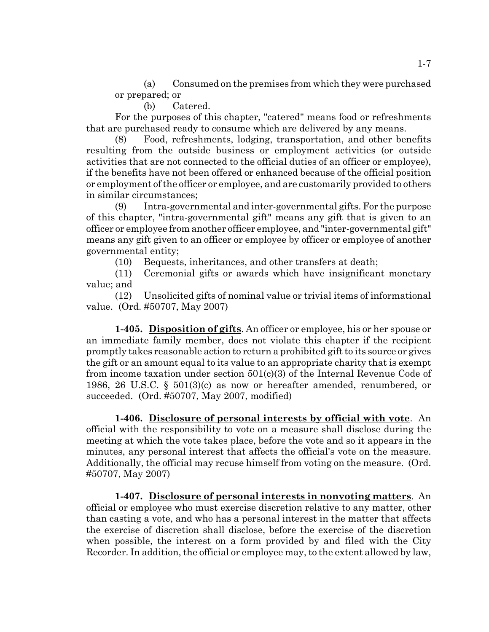(a) Consumed on the premises from which they were purchased or prepared; or

(b) Catered.

For the purposes of this chapter, "catered" means food or refreshments that are purchased ready to consume which are delivered by any means.

(8) Food, refreshments, lodging, transportation, and other benefits resulting from the outside business or employment activities (or outside activities that are not connected to the official duties of an officer or employee), if the benefits have not been offered or enhanced because of the official position or employment of the officer or employee, and are customarily provided to others in similar circumstances;

(9) Intra-governmental and inter-governmental gifts. For the purpose of this chapter, "intra-governmental gift" means any gift that is given to an officer or employee from another officer employee, and "inter-governmental gift" means any gift given to an officer or employee by officer or employee of another governmental entity;

(10) Bequests, inheritances, and other transfers at death;

(11) Ceremonial gifts or awards which have insignificant monetary value; and

(12) Unsolicited gifts of nominal value or trivial items of informational value. (Ord. #50707, May 2007)

**1-405. Disposition of gifts**. An officer or employee, his or her spouse or an immediate family member, does not violate this chapter if the recipient promptly takes reasonable action to return a prohibited gift to its source or gives the gift or an amount equal to its value to an appropriate charity that is exempt from income taxation under section 501(c)(3) of the Internal Revenue Code of 1986, 26 U.S.C. § 501(3)(c) as now or hereafter amended, renumbered, or succeeded. (Ord. #50707, May 2007, modified)

**1-406. Disclosure of personal interests by official with vote**. An official with the responsibility to vote on a measure shall disclose during the meeting at which the vote takes place, before the vote and so it appears in the minutes, any personal interest that affects the official's vote on the measure. Additionally, the official may recuse himself from voting on the measure. (Ord. #50707, May 2007)

**1-407. Disclosure of personal interests in nonvoting matters**. An official or employee who must exercise discretion relative to any matter, other than casting a vote, and who has a personal interest in the matter that affects the exercise of discretion shall disclose, before the exercise of the discretion when possible, the interest on a form provided by and filed with the City Recorder. In addition, the official or employee may, to the extent allowed by law,